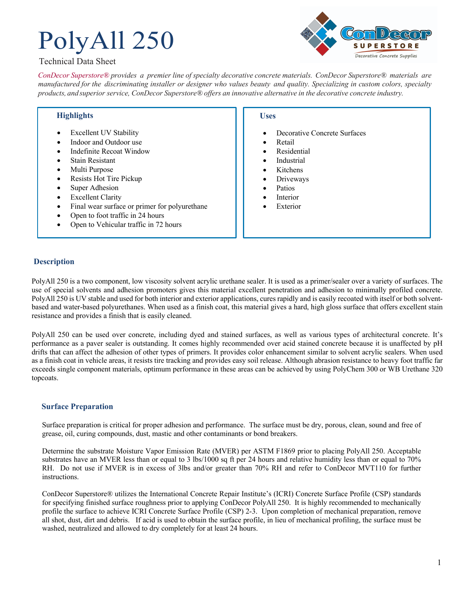# PolyAll 250

## Technical Data Sheet



*ConDecor Superstore® provides a premier line of specialty decorative concrete materials. ConDecor Superstore® materials are*  manufactured for the discriminating installer or designer who values beauty and quality. Specializing in custom colors, specialty *products, and superior service, ConDecor Superstore® offers an innovative alternative in the decorative concrete industry.*

## **Highlights**

- **Excellent UV Stability**
- Indoor and Outdoor use
- Indefinite Recoat Window
- Stain Resistant
- Multi Purpose
- Resists Hot Tire Pickup
- Super Adhesion
- Excellent Clarity
- Final wear surface or primer for polyurethane
- Open to foot traffic in 24 hours
- Open to Vehicular traffic in 72 hours

### **Uses**

- Decorative Concrete Surfaces
- Retail
- **Residential**
- **Industrial**
- **Kitchens**
- Driveways
- **Patios**
- **Interior**
- **Exterior**

## **Description**

PolyAll 250 is a two component, low viscosity solvent acrylic urethane sealer. It is used as a primer/sealer over a variety of surfaces. The use of special solvents and adhesion promoters gives this material excellent penetration and adhesion to minimally profiled concrete. PolyAll 250 is UV stable and used for both interior and exterior applications, cures rapidly and is easily recoated with itself or both solventbased and water-based polyurethanes. When used as a finish coat, this material gives a hard, high gloss surface that offers excellent stain resistance and provides a finish that is easily cleaned.

PolyAll 250 can be used over concrete, including dyed and stained surfaces, as well as various types of architectural concrete. It's performance as a paver sealer is outstanding. It comes highly recommended over acid stained concrete because it is unaffected by pH drifts that can affect the adhesion of other types of primers. It provides color enhancement similar to solvent acrylic sealers. When used as a finish coat in vehicle areas, it resists tire tracking and provides easy soil release. Although abrasion resistance to heavy foot traffic far exceeds single component materials, optimum performance in these areas can be achieved by using PolyChem 300 or WB Urethane 320 topcoats.

#### **Surface Preparation**

Surface preparation is critical for proper adhesion and performance. The surface must be dry, porous, clean, sound and free of grease, oil, curing compounds, dust, mastic and other contaminants or bond breakers.

Determine the substrate Moisture Vapor Emission Rate (MVER) per ASTM F1869 prior to placing PolyAll 250. Acceptable substrates have an MVER less than or equal to 3 lbs/1000 sq ft per 24 hours and relative humidity less than or equal to 70% RH. Do not use if MVER is in excess of 3lbs and/or greater than 70% RH and refer to ConDecor MVT110 for further instructions.

ConDecor Superstore® utilizes the International Concrete Repair Institute's (ICRI) Concrete Surface Profile (CSP) standards for specifying finished surface roughness prior to applying ConDecor PolyAll 250. It is highly recommended to mechanically profile the surface to achieve ICRI Concrete Surface Profile (CSP) 2-3. Upon completion of mechanical preparation, remove all shot, dust, dirt and debris. If acid is used to obtain the surface profile, in lieu of mechanical profiling, the surface must be washed, neutralized and allowed to dry completely for at least 24 hours.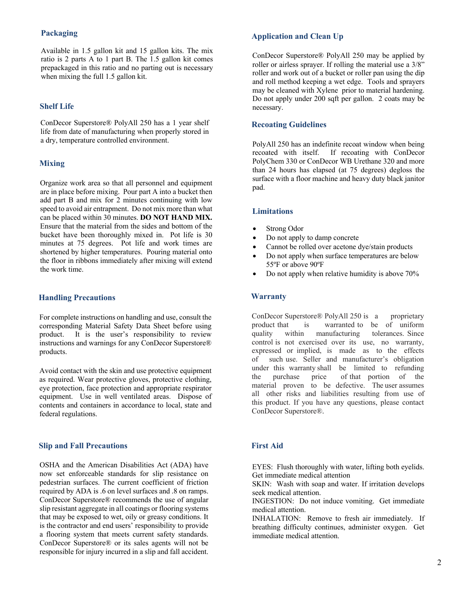## **Packaging**

Available in 1.5 gallon kit and 15 gallon kits. The mix ratio is 2 parts A to 1 part B. The 1.5 gallon kit comes prepackaged in this ratio and no parting out is necessary when mixing the full 1.5 gallon kit.

#### **Shelf Life**

ConDecor Superstore® PolyAll 250 has a 1 year shelf life from date of manufacturing when properly stored in a dry, temperature controlled environment.

## **Mixing**

Organize work area so that all personnel and equipment are in place before mixing. Pour part A into a bucket then add part B and mix for 2 minutes continuing with low speed to avoid air entrapment. Do not mix more than what can be placed within 30 minutes. **DO NOT HAND MIX.**  Ensure that the material from the sides and bottom of the bucket have been thoroughly mixed in. Pot life is 30 minutes at 75 degrees. Pot life and work times are shortened by higher temperatures. Pouring material onto the floor in ribbons immediately after mixing will extend the work time.

#### **Handling Precautions**

For complete instructions on handling and use, consult the corresponding Material Safety Data Sheet before using product. It is the user's responsibility to review instructions and warnings for any ConDecor Superstore® products.

Avoid contact with the skin and use protective equipment as required. Wear protective gloves, protective clothing, eye protection, face protection and appropriate respirator equipment. Use in well ventilated areas. Dispose of contents and containers in accordance to local, state and federal regulations.

#### **Slip and Fall Precautions**

OSHA and the American Disabilities Act (ADA) have now set enforceable standards for slip resistance on pedestrian surfaces. The current coefficient of friction required by ADA is .6 on level surfaces and .8 on ramps. ConDecor Superstore® recommends the use of angular slip resistant aggregate in all coatings or flooring systems that may be exposed to wet, oily or greasy conditions. It is the contractor and end users' responsibility to provide a flooring system that meets current safety standards. ConDecor Superstore® or its sales agents will not be responsible for injury incurred in a slip and fall accident.

#### **Application and Clean Up**

ConDecor Superstore® PolyAll 250 may be applied by roller or airless sprayer. If rolling the material use a 3/8" roller and work out of a bucket or roller pan using the dip and roll method keeping a wet edge. Tools and sprayers may be cleaned with Xylene prior to material hardening. Do not apply under 200 sqft per gallon. 2 coats may be necessary.

#### **Recoating Guidelines**

PolyAll 250 has an indefinite recoat window when being recoated with itself. If recoating with ConDecor PolyChem 330 or ConDecor WB Urethane 320 and more than 24 hours has elapsed (at 75 degrees) degloss the surface with a floor machine and heavy duty black janitor pad.

#### **Limitations**

- Strong Odor
- Do not apply to damp concrete
- Cannot be rolled over acetone dye/stain products
- Do not apply when surface temperatures are below 55ºF or above 90ºF
- Do not apply when relative humidity is above 70%

### **Warranty**

ConDecor Superstore<sup>®</sup> PolyAll 250 is a proprietary product that is warranted to be of uniform quality within manufacturing tolerances. Since control is not exercised over its use, no warranty, expressed or implied, is made as to the effects of such use. Seller and manufacturer's obligation under this warranty shall be limited to refunding the purchase price of that portion of the material proven to be defective. The user assumes all other risks and liabilities resulting from use of this product. If you have any questions, please contact ConDecor Superstore®.

## **First Aid**

EYES: Flush thoroughly with water, lifting both eyelids. Get immediate medical attention

SKIN: Wash with soap and water. If irritation develops seek medical attention.

INGESTION: Do not induce vomiting. Get immediate medical attention.

INHALATION: Remove to fresh air immediately. If breathing difficulty continues, administer oxygen. Get immediate medical attention.